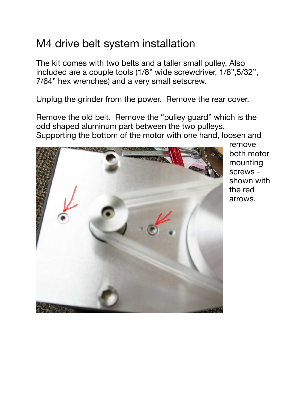## M4 drive belt system installation

The kit comes with two belts and a taller small pulley. Also included are a couple tools (1/8" wide screwdriver, 1/8",5/32", 7/64" hex wrenches) and a very small setscrew.

Unplug the grinder from the power. Remove the rear cover.

Remove the old belt. Remove the "pulley guard" which is the odd shaped aluminum part between the two pulleys. Supporting the bottom of the motor with one hand, loosen and



remove both motor mounting screws shown with the red arrows.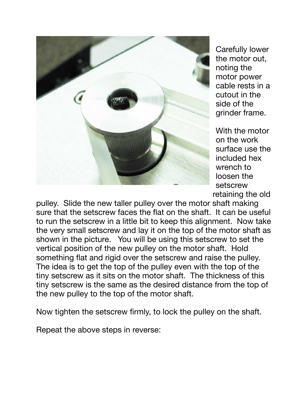

Carefully lower the motor out, noting the motor power cable rests in a cutout in the side of the grinder frame.

With the motor on the work surface use the included hex wrench to loosen the setscrew retaining the old

pulley. Slide the new taller pulley over the motor shaft making sure that the setscrew faces the flat on the shaft. It can be useful to run the setscrew in a little bit to keep this alignment. Now take the very small setscrew and lay it on the top of the motor shaft as shown in the picture. You will be using this setscrew to set the vertical position of the new pulley on the motor shaft. Hold something flat and rigid over the setscrew and raise the pulley. The idea is to get the top of the pulley even with the top of the tiny setscrew as it sits on the motor shaft. The thickness of this tiny setscrew is the same as the desired distance from the top of the new pulley to the top of the motor shaft.

Now tighten the setscrew firmly, to lock the pulley on the shaft.

Repeat the above steps in reverse: